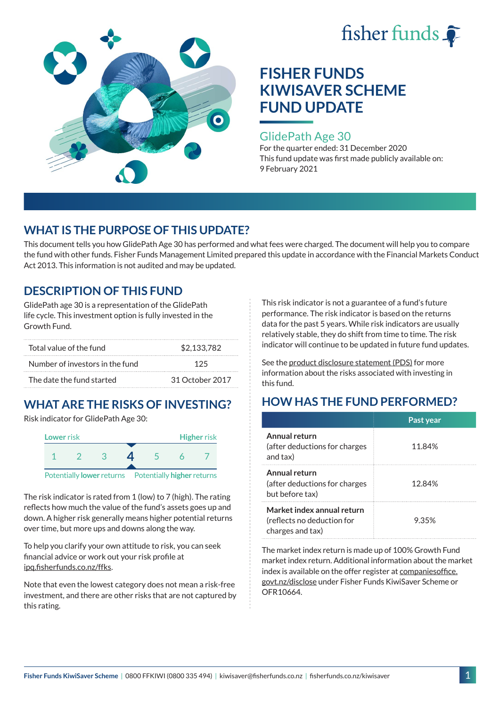



### GlidePath Age 30

For the quarter ended: 31 December 2020 This fund update was first made publicly available on: 9 February 2021

## **WHAT IS THE PURPOSE OF THIS UPDATE?**

This document tells you how GlidePath Age 30 has performed and what fees were charged. The document will help you to compare the fund with other funds. Fisher Funds Management Limited prepared this update in accordance with the Financial Markets Conduct Act 2013. This information is not audited and may be updated.

## **DESCRIPTION OF THIS FUND**

GlidePath age 30 is a representation of the GlidePath life cycle. This investment option is fully invested in the Growth Fund.

| Total value of the fund         | \$2.133.782     |  |
|---------------------------------|-----------------|--|
| Number of investors in the fund | 125             |  |
| The date the fund started       | 31 October 2017 |  |

# **WHAT ARE THE RISKS OF INVESTING?**

Risk indicator for GlidePath Age 30:



The risk indicator is rated from 1 (low) to 7 (high). The rating reflects how much the value of the fund's assets goes up and down. A higher risk generally means higher potential returns over time, but more ups and downs along the way.

To help you clarify your own attitude to risk, you can seek financial advice or work out your risk profile at [ipq.fisherfunds.co.nz/ffks](https://ipq.fisherfunds.co.nz/ffks).

Note that even the lowest category does not mean a risk-free investment, and there are other risks that are not captured by this rating.

This risk indicator is not a guarantee of a fund's future performance. The risk indicator is based on the returns data for the past 5 years. While risk indicators are usually relatively stable, they do shift from time to time. The risk indicator will continue to be updated in future fund updates.

See the [product disclosure statement \(PDS\)](https://fisherfunds.co.nz/assets/PDS/Fisher-Funds-KiwiSaver-Scheme-PDS.pdf) for more information about the risks associated with investing in this fund.

## **HOW HAS THE FUND PERFORMED?**

|                                                                              | Past year |
|------------------------------------------------------------------------------|-----------|
| Annual return<br>(after deductions for charges<br>and tax)                   | 11.84%    |
| Annual return<br>(after deductions for charges<br>but before tax)            | 12.84%    |
| Market index annual return<br>(reflects no deduction for<br>charges and tax) | 9.35%     |

The market index return is made up of 100% Growth Fund market index return. Additional information about the market index is available on the offer register at [companiesoffice.](http://companiesoffice.govt.nz/disclose) [govt.nz/disclose](http://companiesoffice.govt.nz/disclose) under Fisher Funds KiwiSaver Scheme or OFR10664.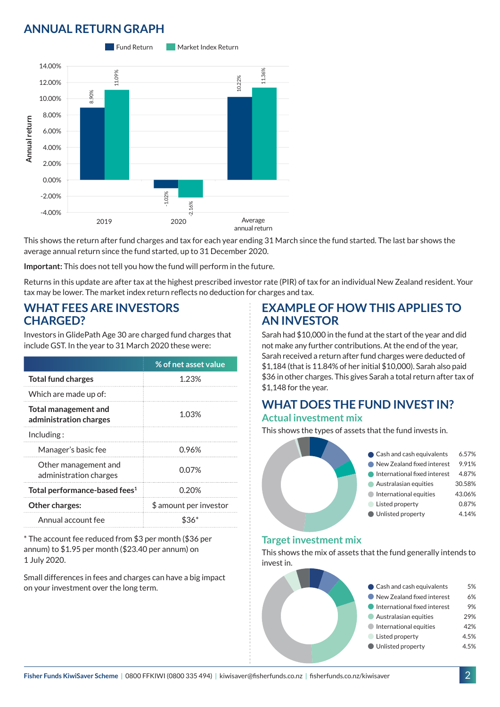## **ANNUAL RETURN GRAPH**



This shows the return after fund charges and tax for each year ending 31 March since the fund started. The last bar shows the average annual return since the fund started, up to 31 December 2020.

**Important:** This does not tell you how the fund will perform in the future.

Returns in this update are after tax at the highest prescribed investor rate (PIR) of tax for an individual New Zealand resident. Your tax may be lower. The market index return reflects no deduction for charges and tax.

### **WHAT FEES ARE INVESTORS CHARGED?**

Investors in GlidePath Age 30 are charged fund charges that include GST. In the year to 31 March 2020 these were:

|                                                       | % of net asset value   |  |
|-------------------------------------------------------|------------------------|--|
| <b>Total fund charges</b>                             | 1.23%                  |  |
| Which are made up of:                                 |                        |  |
| <b>Total management and</b><br>administration charges | 1.03%                  |  |
| Inding:                                               |                        |  |
| Manager's basic fee                                   | 0.96%                  |  |
| Other management and<br>administration charges        | 0.07%                  |  |
| Total performance-based fees <sup>1</sup>             | 0.20%                  |  |
| Other charges:                                        | \$ amount per investor |  |
| Annual account fee                                    |                        |  |

\* The account fee reduced from \$3 per month (\$36 per annum) to \$1.95 per month (\$23.40 per annum) on 1 July 2020.

Small differences in fees and charges can have a big impact on your investment over the long term.

### **EXAMPLE OF HOW THIS APPLIES TO AN INVESTOR**

Sarah had \$10,000 in the fund at the start of the year and did not make any further contributions. At the end of the year, Sarah received a return after fund charges were deducted of \$1,184 (that is 11.84% of her initial \$10,000). Sarah also paid \$36 in other charges. This gives Sarah a total return after tax of \$1,148 for the year.

#### **WHAT DOES THE FUND INVEST IN? Actual investment mix**

This shows the types of assets that the fund invests in.



#### **Target investment mix**

This shows the mix of assets that the fund generally intends to invest in.